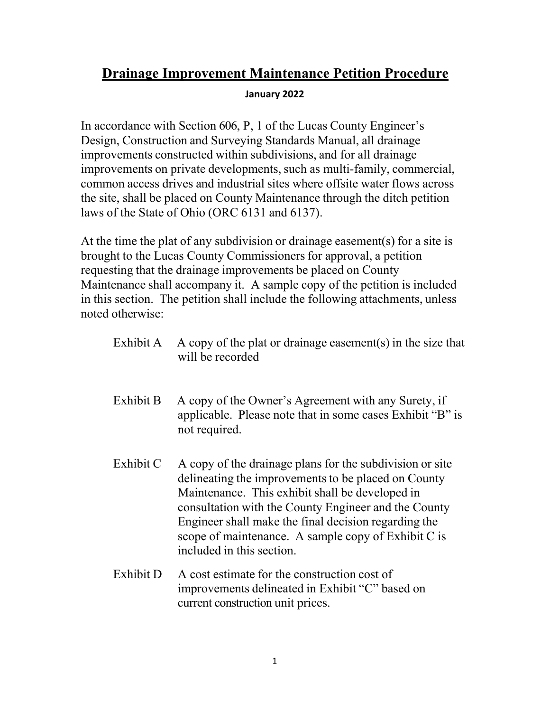## **Drainage Improvement Maintenance Petition Procedure January 2022**

In accordance with Section 606, P, 1 of the Lucas County Engineer's Design, Construction and Surveying Standards Manual, all drainage improvements constructed within subdivisions, and for all drainage improvements on private developments, such as multi-family, commercial, common access drives and industrial sites where offsite water flows across the site, shall be placed on County Maintenance through the ditch petition laws of the State of Ohio (ORC 6131 and 6137).

At the time the plat of any subdivision or drainage easement(s) for a site is brought to the Lucas County Commissioners for approval, a petition requesting that the drainage improvements be placed on County Maintenance shall accompany it. A sample copy of the petition is included in this section. The petition shall include the following attachments, unless noted otherwise:

| Exhibit A $\alpha$ A copy of the plat or drainage easement(s) in the size that |
|--------------------------------------------------------------------------------|
| will be recorded                                                               |

- Exhibit B A copy of the Owner's Agreement with any Surety, if applicable. Please note that in some cases Exhibit "B" is not required.
- Exhibit  $C$  A copy of the drainage plans for the subdivision or site delineating the improvements to be placed on County Maintenance. This exhibit shall be developed in consultation with the County Engineer and the County Engineer shall make the final decision regarding the scope of maintenance. A sample copy of Exhibit C is included in this section.
- Exhibit D A cost estimate for the construction cost of improvements delineated in Exhibit "C" based on current construction unit prices.